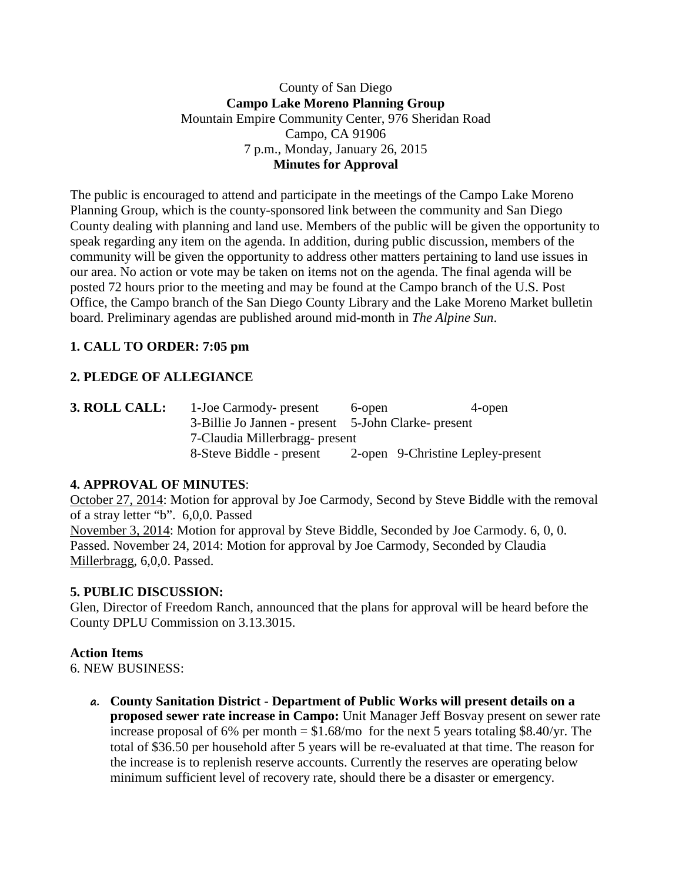## County of San Diego **Campo Lake Moreno Planning Group** Mountain Empire Community Center, 976 Sheridan Road Campo, CA 91906 7 p.m., Monday, January 26, 2015 **Minutes for Approval**

The public is encouraged to attend and participate in the meetings of the Campo Lake Moreno Planning Group, which is the county-sponsored link between the community and San Diego County dealing with planning and land use. Members of the public will be given the opportunity to speak regarding any item on the agenda. In addition, during public discussion, members of the community will be given the opportunity to address other matters pertaining to land use issues in our area. No action or vote may be taken on items not on the agenda. The final agenda will be posted 72 hours prior to the meeting and may be found at the Campo branch of the U.S. Post Office, the Campo branch of the San Diego County Library and the Lake Moreno Market bulletin board. Preliminary agendas are published around mid-month in *The Alpine Sun*.

# **1. CALL TO ORDER: 7:05 pm**

# **2. PLEDGE OF ALLEGIANCE**

**3. ROLL CALL:** 1-Joe Carmody- present 6-open 4-open 3-Billie Jo Jannen - present 5-John Clarke- present 7-Claudia Millerbragg- present 8-Steve Biddle - present 2-open 9-Christine Lepley-present

## **4. APPROVAL OF MINUTES**:

October 27, 2014: Motion for approval by Joe Carmody, Second by Steve Biddle with the removal of a stray letter "b". 6,0,0. Passed November 3, 2014: Motion for approval by Steve Biddle, Seconded by Joe Carmody. 6, 0, 0. Passed. November 24, 2014: Motion for approval by Joe Carmody, Seconded by Claudia Millerbragg, 6,0,0. Passed.

## **5. PUBLIC DISCUSSION:**

Glen, Director of Freedom Ranch, announced that the plans for approval will be heard before the County DPLU Commission on 3.13.3015.

#### **Action Items**

6. NEW BUSINESS:

**a. County Sanitation District - Department of Public Works will present details on a proposed sewer rate increase in Campo:** Unit Manager Jeff Bosvay present on sewer rate increase proposal of 6% per month  $= $1.68$ /mo for the next 5 years totaling \$8.40/yr. The total of \$36.50 per household after 5 years will be re-evaluated at that time. The reason for the increase is to replenish reserve accounts. Currently the reserves are operating below minimum sufficient level of recovery rate, should there be a disaster or emergency.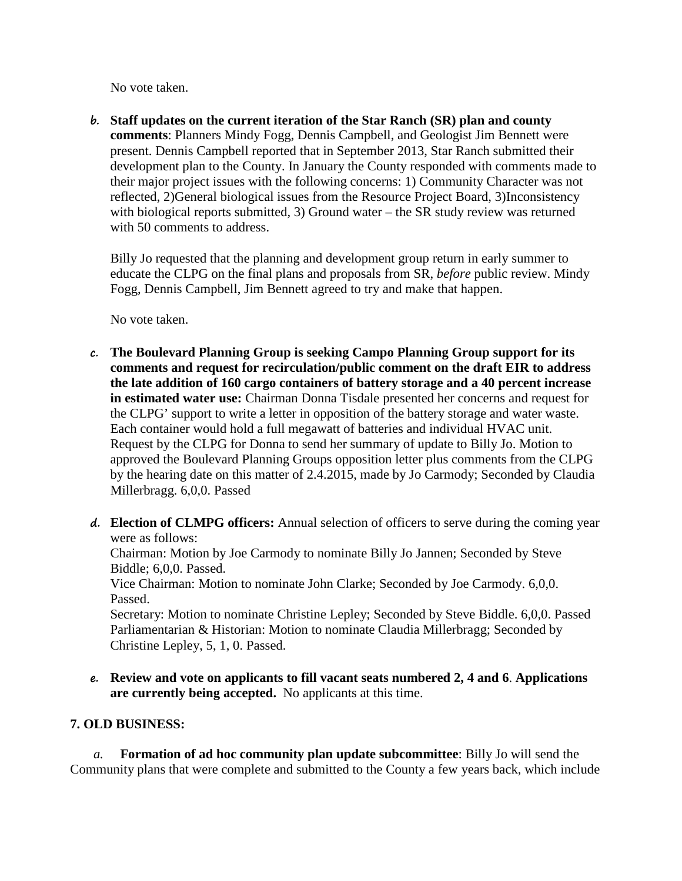No vote taken.

**b. Staff updates on the current iteration of the Star Ranch (SR) plan and county comments**: Planners Mindy Fogg, Dennis Campbell, and Geologist Jim Bennett were present. Dennis Campbell reported that in September 2013, Star Ranch submitted their development plan to the County. In January the County responded with comments made to their major project issues with the following concerns: 1) Community Character was not reflected, 2)General biological issues from the Resource Project Board, 3)Inconsistency with biological reports submitted, 3) Ground water – the SR study review was returned with 50 comments to address.

Billy Jo requested that the planning and development group return in early summer to educate the CLPG on the final plans and proposals from SR, *before* public review. Mindy Fogg, Dennis Campbell, Jim Bennett agreed to try and make that happen.

No vote taken.

- **c. The Boulevard Planning Group is seeking Campo Planning Group support for its comments and request for recirculation/public comment on the draft EIR to address the late addition of 160 cargo containers of battery storage and a 40 percent increase in estimated water use:** Chairman Donna Tisdale presented her concerns and request for the CLPG' support to write a letter in opposition of the battery storage and water waste. Each container would hold a full megawatt of batteries and individual HVAC unit. Request by the CLPG for Donna to send her summary of update to Billy Jo. Motion to approved the Boulevard Planning Groups opposition letter plus comments from the CLPG by the hearing date on this matter of 2.4.2015, made by Jo Carmody; Seconded by Claudia Millerbragg. 6,0,0. Passed
- **d. Election of CLMPG officers:** Annual selection of officers to serve during the coming year were as follows:

Chairman: Motion by Joe Carmody to nominate Billy Jo Jannen; Seconded by Steve Biddle; 6,0,0. Passed.

Vice Chairman: Motion to nominate John Clarke; Seconded by Joe Carmody. 6,0,0. Passed.

Secretary: Motion to nominate Christine Lepley; Seconded by Steve Biddle. 6,0,0. Passed Parliamentarian & Historian: Motion to nominate Claudia Millerbragg; Seconded by Christine Lepley, 5, 1, 0. Passed.

**e. Review and vote on applicants to fill vacant seats numbered 2, 4 and 6**. **Applications are currently being accepted.** No applicants at this time.

## **7. OLD BUSINESS:**

*a.* **Formation of ad hoc community plan update subcommittee**: Billy Jo will send the Community plans that were complete and submitted to the County a few years back, which include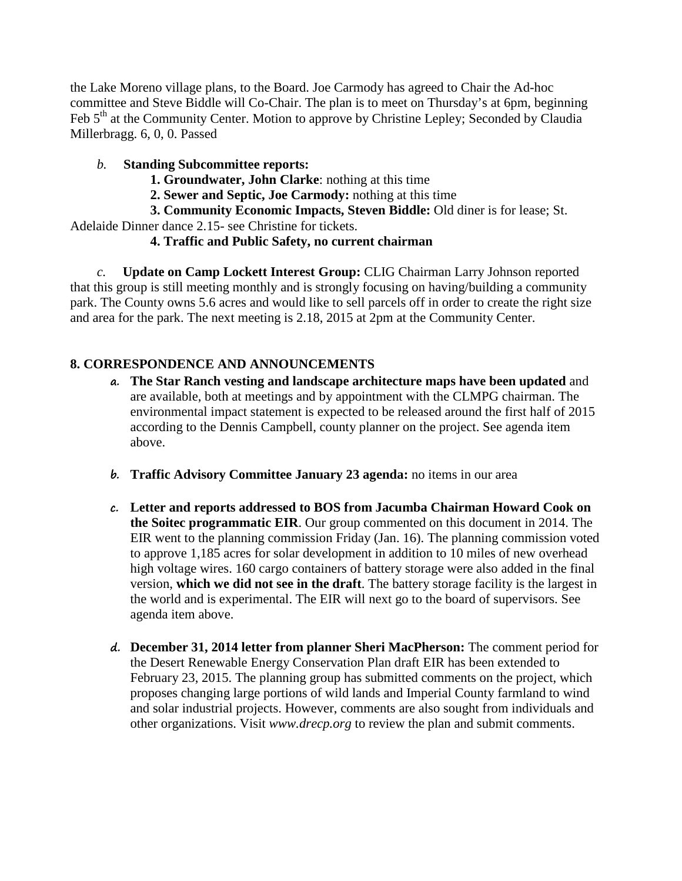the Lake Moreno village plans, to the Board. Joe Carmody has agreed to Chair the Ad-hoc committee and Steve Biddle will Co-Chair. The plan is to meet on Thursday's at 6pm, beginning Feb 5<sup>th</sup> at the Community Center. Motion to approve by Christine Lepley; Seconded by Claudia Millerbragg. 6, 0, 0. Passed

## *b.* **Standing Subcommittee reports:**

- **1. Groundwater, John Clarke**: nothing at this time
- **2. Sewer and Septic, Joe Carmody:** nothing at this time

**3. Community Economic Impacts, Steven Biddle:** Old diner is for lease; St. Adelaide Dinner dance 2.15- see Christine for tickets.

## **4. Traffic and Public Safety, no current chairman**

*c.* **Update on Camp Lockett Interest Group:** CLIG Chairman Larry Johnson reported that this group is still meeting monthly and is strongly focusing on having/building a community park. The County owns 5.6 acres and would like to sell parcels off in order to create the right size and area for the park. The next meeting is 2.18, 2015 at 2pm at the Community Center.

# **8. CORRESPONDENCE AND ANNOUNCEMENTS**

- **a. The Star Ranch vesting and landscape architecture maps have been updated** and are available, both at meetings and by appointment with the CLMPG chairman. The environmental impact statement is expected to be released around the first half of 2015 according to the Dennis Campbell, county planner on the project. See agenda item above.
- **b. Traffic Advisory Committee January 23 agenda:** no items in our area
- **c. Letter and reports addressed to BOS from Jacumba Chairman Howard Cook on the Soitec programmatic EIR**. Our group commented on this document in 2014. The EIR went to the planning commission Friday (Jan. 16). The planning commission voted to approve 1,185 acres for solar development in addition to 10 miles of new overhead high voltage wires. 160 cargo containers of battery storage were also added in the final version, **which we did not see in the draft**. The battery storage facility is the largest in the world and is experimental. The EIR will next go to the board of supervisors. See agenda item above.
- **d. December 31, 2014 letter from planner Sheri MacPherson:** The comment period for the Desert Renewable Energy Conservation Plan draft EIR has been extended to February 23, 2015. The planning group has submitted comments on the project, which proposes changing large portions of wild lands and Imperial County farmland to wind and solar industrial projects. However, comments are also sought from individuals and other organizations. Visit *www.drecp.org* to review the plan and submit comments.